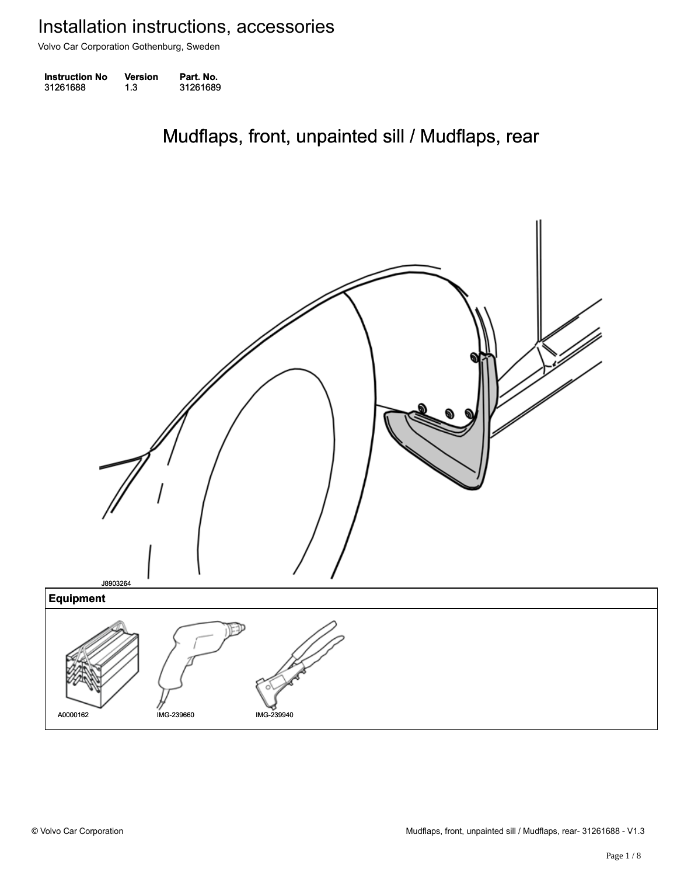Volvo Car Corporation Gothenburg, Sweden

| <b>Instruction No</b> | Version | Part. No. |
|-----------------------|---------|-----------|
| 31261688              | 1.3     | 31261689  |

Mudflaps, front, unpainted sill / Mudflaps, rear Mudflaps, front, unpainted sill / Mudflaps, rear

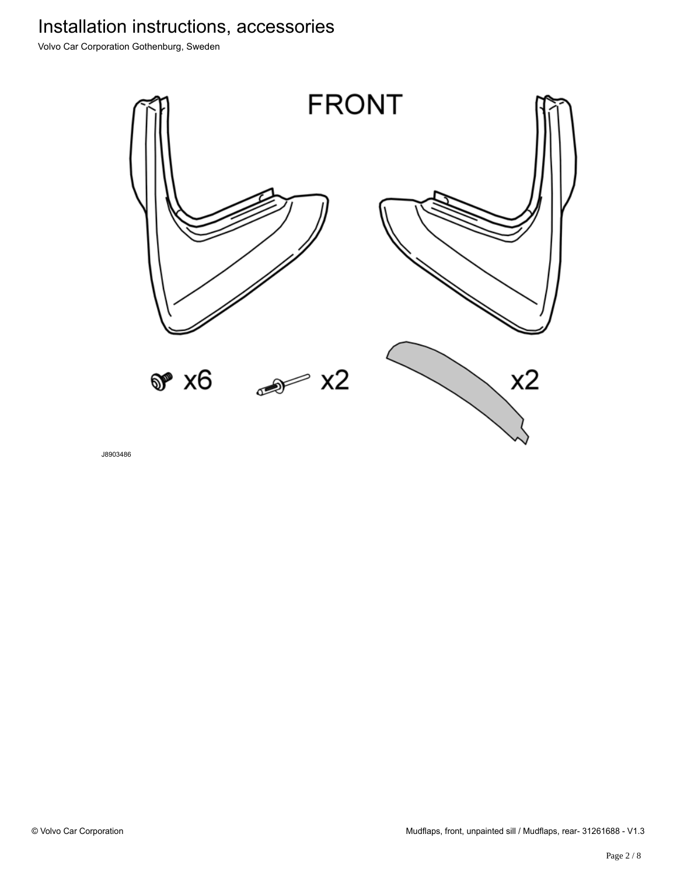Volvo Car Corporation Gothenburg, Sweden



J8903486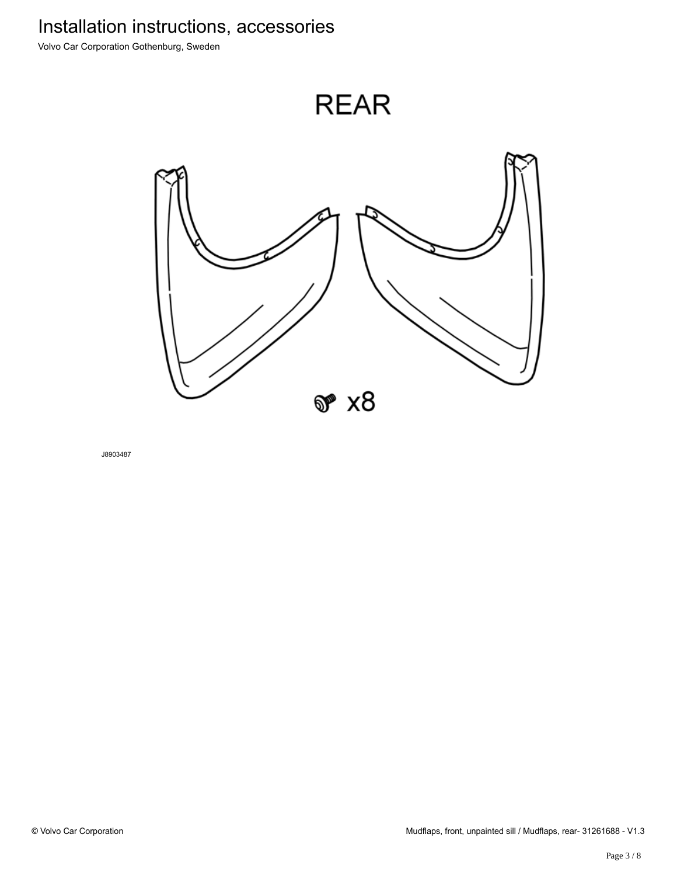Volvo Car Corporation Gothenburg, Sweden



 $\mathcal{F} \times 8$ 

J8903487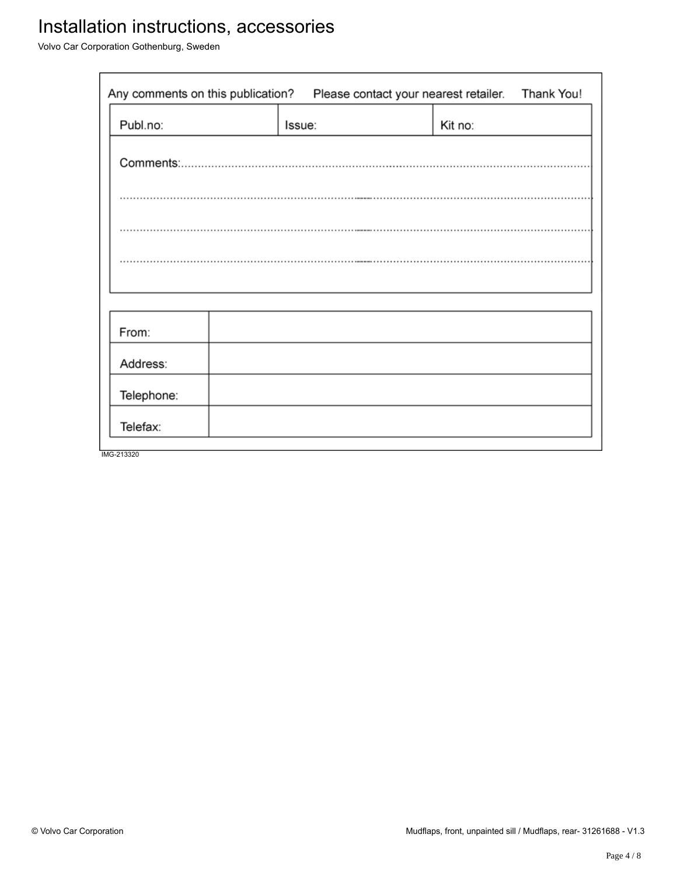Volvo Car Corporation Gothenburg, Sweden

| Any comments on this publication?<br>Please contact your nearest retailer. |        |  | Thank You! |  |
|----------------------------------------------------------------------------|--------|--|------------|--|
| Publ.no:                                                                   | Issue: |  | Kit no:    |  |
|                                                                            |        |  |            |  |
|                                                                            |        |  |            |  |
|                                                                            |        |  |            |  |
|                                                                            |        |  |            |  |
|                                                                            |        |  |            |  |
| From:                                                                      |        |  |            |  |
| Address:                                                                   |        |  |            |  |
| Telephone:                                                                 |        |  |            |  |
| Telefax:                                                                   |        |  |            |  |
| IMG-213320                                                                 |        |  |            |  |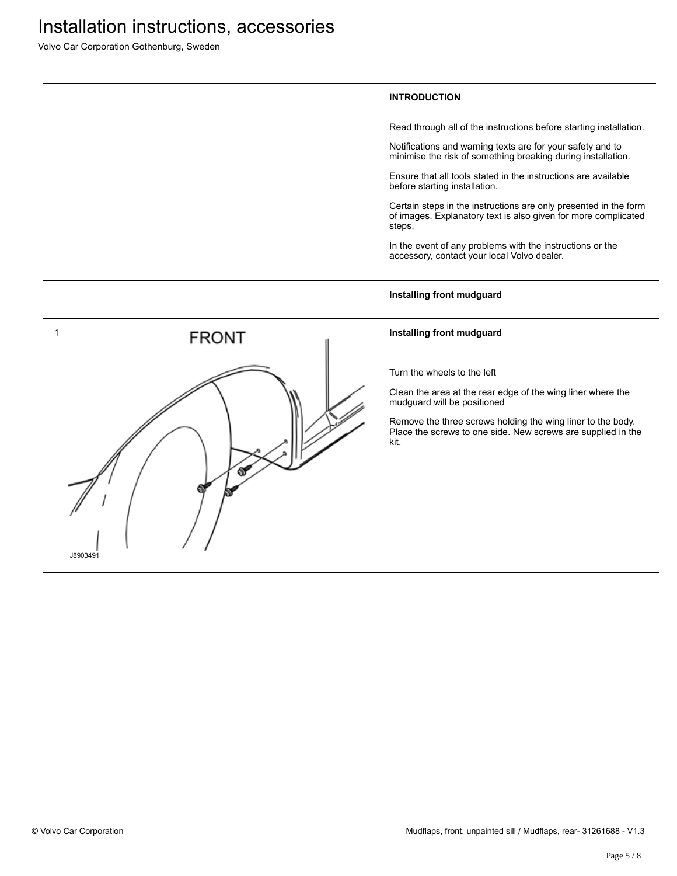Volvo Car Corporation Gothenburg, Sweden

### **INTRODUCTION**

Read through all of the instructions before starting installation.

Notifications and warning texts are for your safety and to minimise the risk of something breaking during installation.

Ensure that all tools stated in the instructions are available before starting installation.

Certain steps in the instructions are only presented in the form of images. Explanatory text is also given for more complicated steps.

In the event of any problems with the instructions or the accessory, contact your local Volvo dealer.

#### **Installing front mudguard**

#### **Installing front mudguard**

Turn the wheels to the left

Clean the area at the rear edge of the wing liner where the mudguard will be positioned

Remove the three screws holding the wing liner to the body. Place the screws to one side. New screws are supplied in the kit.

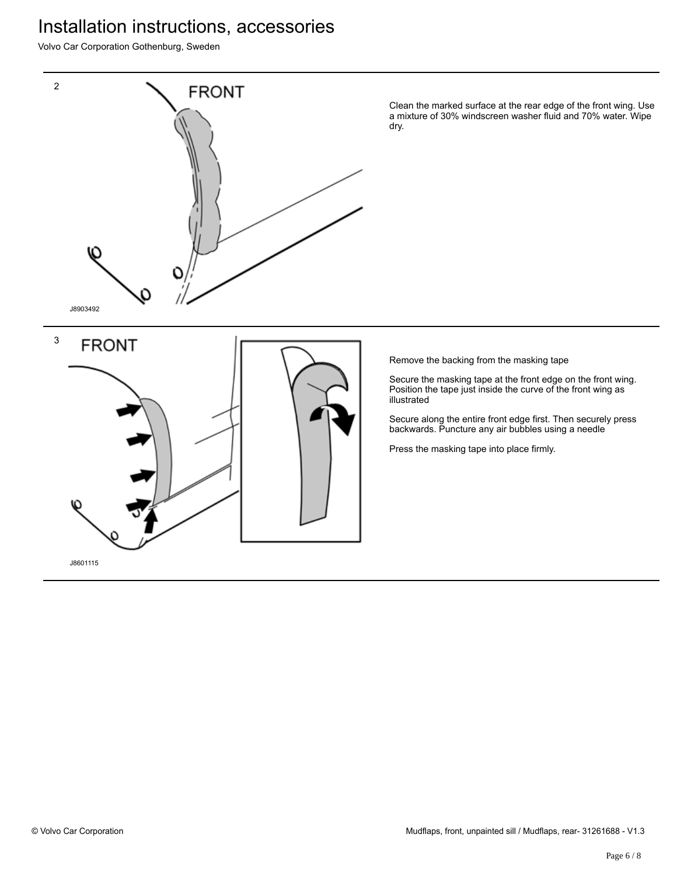Volvo Car Corporation Gothenburg, Sweden



Clean the marked surface at the rear edge of the front wing. Use a mixture of 30% windscreen washer fluid and 70% water. Wipe dry.

Remove the backing from the masking tape

Secure the masking tape at the front edge on the front wing. Position the tape just inside the curve of the front wing as illustrated

Secure along the entire front edge first. Then securely press backwards. Puncture any air bubbles using a needle

Press the masking tape into place firmly.

J8601115

**FRONT**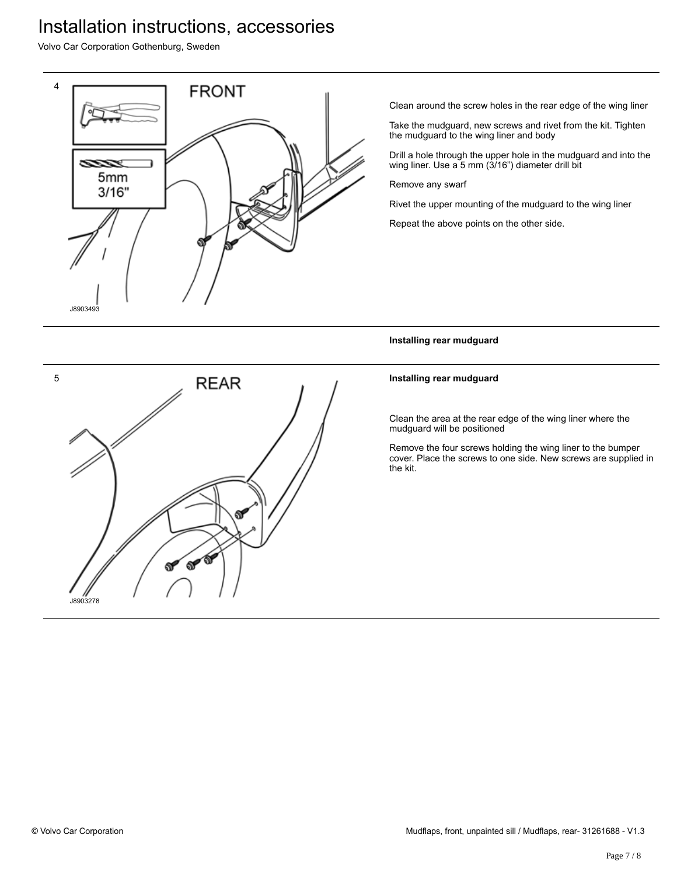Volvo Car Corporation Gothenburg, Sweden



Clean around the screw holes in the rear edge of the wing liner

Take the mudguard, new screws and rivet from the kit. Tighten the mudguard to the wing liner and body

Drill a hole through the upper hole in the mudguard and into the wing liner. Use a 5 mm (3/16") diameter drill bit

Remove any swarf

Rivet the upper mounting of the mudguard to the wing liner

Repeat the above points on the other side.

**Installing rear mudguard**

### **Installing rear mudguard**

Clean the area at the rear edge of the wing liner where the mudguard will be positioned

Remove the four screws holding the wing liner to the bumper cover. Place the screws to one side. New screws are supplied in the kit.